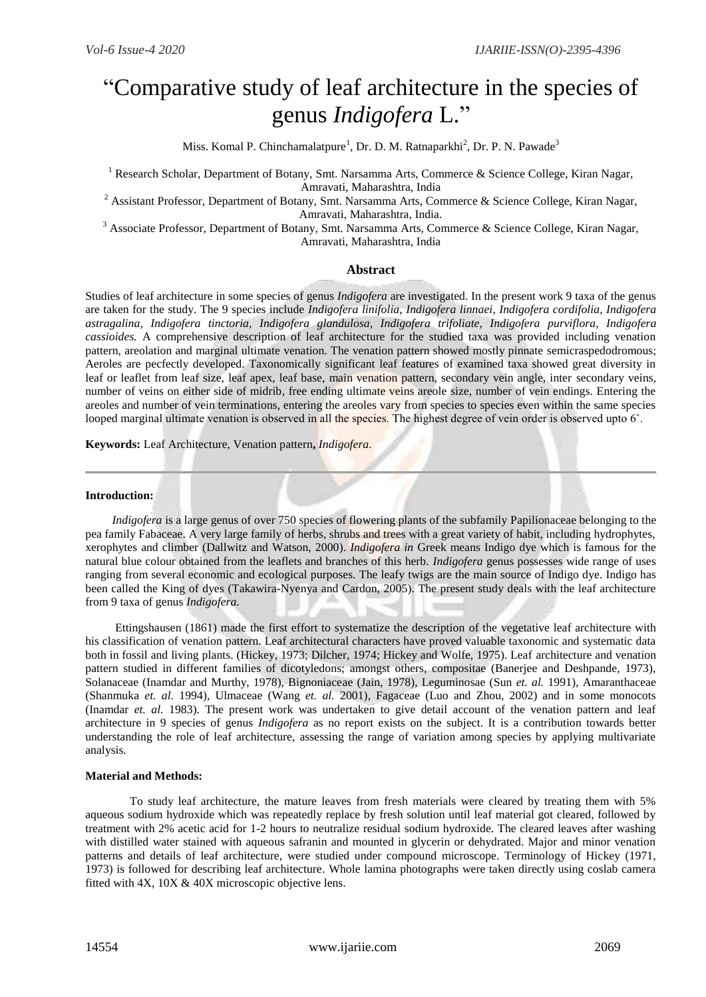# "Comparative study of leaf architecture in the species of genus *Indigofera* L."

Miss. Komal P. Chinchamalatpure<sup>1</sup>, Dr. D. M. Ratnaparkhi<sup>2</sup>, Dr. P. N. Pawade<sup>3</sup>

<sup>1</sup> Research Scholar. Department of Botany, Smt. Narsamma Arts, Commerce & Science College, Kiran Nagar, Amravati, Maharashtra, India

<sup>2</sup> Assistant Professor, Department of Botany, Smt. Narsamma Arts, Commerce & Science College, Kiran Nagar, Amravati, Maharashtra, India.

<sup>3</sup> Associate Professor, Department of Botany, Smt. Narsamma Arts, Commerce & Science College, Kiran Nagar, Amravati, Maharashtra, India

## **Abstract**

Studies of leaf architecture in some species of genus *Indigofera* are investigated. In the present work 9 taxa of the genus are taken for the study. The 9 species include *Indigofera linifolia*, *Indigofera linnaei, Indigofera cordifolia, Indigofera astragalina, Indigofera tinctoria, Indigofera glandulosa, Indigofera trifoliate, Indigofera purviflora, Indigofera cassioides.* A comprehensive description of leaf architecture for the studied taxa was provided including venation pattern, areolation and marginal ultimate venation. The venation pattern showed mostly pinnate semicraspedodromous; Aeroles are pecfectly developed. Taxonomically significant leaf features of examined taxa showed great diversity in leaf or leaflet from leaf size, leaf apex, leaf base, main venation pattern, secondary vein angle, inter secondary veins, number of veins on either side of midrib, free ending ultimate veins areole size, number of vein endings. Entering the areoles and number of vein terminations, entering the areoles vary from species to species even within the same species looped marginal ultimate venation is observed in all the species. The highest degree of vein order is observed upto 6˚.

**Keywords:** Leaf Architecture, Venation pattern**,** *Indigofera.*

### **Introduction:**

*Indigofera* is a large genus of over 750 species of flowering plants of the subfamily Papilionaceae belonging to the pea family Fabaceae. A very large family of herbs, shrubs and trees with a great variety of habit, including hydrophytes, xerophytes and climber (Dallwitz and Watson, 2000). *Indigofera in* Greek means Indigo dye which is famous for the natural blue colour obtained from the leaflets and branches of this herb. *Indigofera* genus possesses wide range of uses ranging from several economic and ecological purposes. The leafy twigs are the main source of Indigo dye. Indigo has been called the King of dyes (Takawira-Nyenya and Cardon, 2005). The present study deals with the leaf architecture from 9 taxa of genus *Indigofera.*

Ettingshausen (1861) made the first effort to systematize the description of the vegetative leaf architecture with his classification of venation pattern. Leaf architectural characters have proved valuable taxonomic and systematic data both in fossil and living plants. (Hickey, 1973; Dilcher, 1974; Hickey and Wolfe, 1975). Leaf architecture and venation pattern studied in different families of dicotyledons; amongst others, compositae (Banerjee and Deshpande, 1973), Solanaceae (Inamdar and Murthy, 1978), Bignoniaceae (Jain, 1978), Leguminosae (Sun *et. al.* 1991), Amaranthaceae (Shanmuka *et. al.* 1994)*,* Ulmaceae (Wang *et. al.* 2001)*,* Fagaceae (Luo and Zhou, 2002) and in some monocots (Inamdar *et. al.* 1983). The present work was undertaken to give detail account of the venation pattern and leaf architecture in 9 species of genus *Indigofera* as no report exists on the subject. It is a contribution towards better understanding the role of leaf architecture, assessing the range of variation among species by applying multivariate analysis.

### **Material and Methods:**

 To study leaf architecture, the mature leaves from fresh materials were cleared by treating them with 5% aqueous sodium hydroxide which was repeatedly replace by fresh solution until leaf material got cleared, followed by treatment with 2% acetic acid for 1-2 hours to neutralize residual sodium hydroxide. The cleared leaves after washing with distilled water stained with aqueous safranin and mounted in glycerin or dehydrated. Major and minor venation patterns and details of leaf architecture, were studied under compound microscope. Terminology of Hickey (1971, 1973) is followed for describing leaf architecture. Whole lamina photographs were taken directly using coslab camera fitted with 4X, 10X & 40X microscopic objective lens.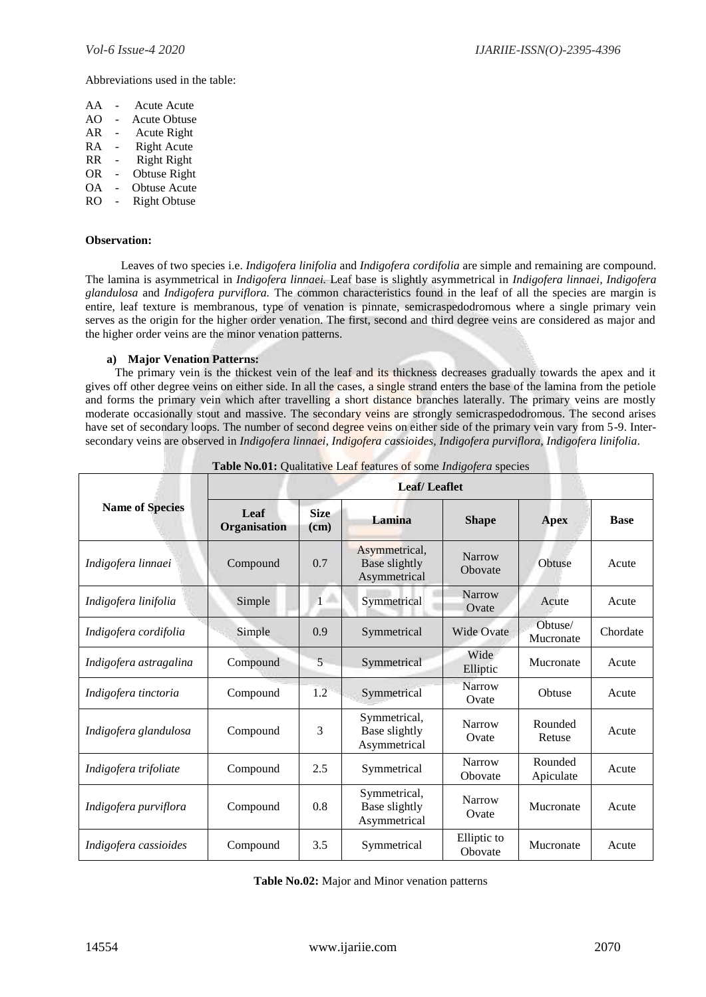Abbreviations used in the table:

| AA  |    | <b>Acute Acute</b>  |
|-----|----|---------------------|
| AΟ  | L. | <b>Acute Obtuse</b> |
| AR  |    | <b>Acute Right</b>  |
| RА  | -  | <b>Right Acute</b>  |
| RR. | -  | <b>Right Right</b>  |
| 0R. |    | Obtuse Right        |
| OА  |    | <b>Obtuse Acute</b> |

RO - Right Obtuse

### **Observation:**

Leaves of two species i.e. *Indigofera linifolia* and *Indigofera cordifolia* are simple and remaining are compound. The lamina is asymmetrical in *Indigofera linnaei.* Leaf base is slightly asymmetrical in *Indigofera linnaei, Indigofera glandulosa* and *Indigofera purviflora.* The common characteristics found in the leaf of all the species are margin is entire, leaf texture is membranous, type of venation is pinnate, semicraspedodromous where a single primary vein serves as the origin for the higher order venation. The first, second and third degree veins are considered as major and the higher order veins are the minor venation patterns.

## **a) Major Venation Patterns:**

 The primary vein is the thickest vein of the leaf and its thickness decreases gradually towards the apex and it gives off other degree veins on either side. In all the cases, a single strand enters the base of the lamina from the petiole and forms the primary vein which after travelling a short distance branches laterally. The primary veins are mostly moderate occasionally stout and massive. The secondary veins are strongly semicraspedodromous. The second arises have set of secondary loops. The number of second degree veins on either side of the primary vein vary from 5-9. Intersecondary veins are observed in *Indigofera linnaei, Indigofera cassioides, Indigofera purviflora, Indigofera linifolia*.

|                        | <b>Leaf/Leaflet</b>  |                     |                                                       |                        |                      |             |  |
|------------------------|----------------------|---------------------|-------------------------------------------------------|------------------------|----------------------|-------------|--|
| <b>Name of Species</b> | Leaf<br>Organisation | <b>Size</b><br>(cm) | Lamina                                                | <b>Shape</b>           | <b>Apex</b>          | <b>Base</b> |  |
| Indigofera linnaei     | Compound             | 0.7                 | Asymmetrical,<br><b>Base slightly</b><br>Asymmetrical | Narrow<br>Obovate      | Obtuse               | Acute       |  |
| Indigofera linifolia   | Simple               | Δ<br>$\mathbf{1}$   | Symmetrical                                           | Narrow<br>Ovate        | Acute                | Acute       |  |
| Indigofera cordifolia  | Simple               | 0.9                 | Symmetrical                                           | <b>Wide Ovate</b>      | Obtuse/<br>Mucronate | Chordate    |  |
| Indigofera astragalina | Compound             | 5                   | Symmetrical                                           | Wide<br>Elliptic       | Mucronate            | Acute       |  |
| Indigofera tinctoria   | Compound             | 1.2                 | Symmetrical                                           | <b>Narrow</b><br>Ovate | Obtuse               | Acute       |  |
| Indigofera glandulosa  | Compound             | 3                   | Symmetrical,<br>Base slightly<br>Asymmetrical         | Narrow<br>Ovate        | Rounded<br>Retuse    | Acute       |  |
| Indigofera trifoliate  | Compound             | 2.5                 | Symmetrical                                           | Narrow<br>Obovate      | Rounded<br>Apiculate | Acute       |  |
| Indigofera purviflora  | Compound             | 0.8                 | Symmetrical,<br>Base slightly<br>Asymmetrical         | Narrow<br>Ovate        | Mucronate            | Acute       |  |
| Indigofera cassioides  | Compound             | 3.5                 | Symmetrical                                           | Elliptic to<br>Obovate | Mucronate            | Acute       |  |

| Table No.01: Qualitative Leaf features of some Indigofera species |  |  |  |  |  |
|-------------------------------------------------------------------|--|--|--|--|--|
|-------------------------------------------------------------------|--|--|--|--|--|

**Table No.02:** Major and Minor venation patterns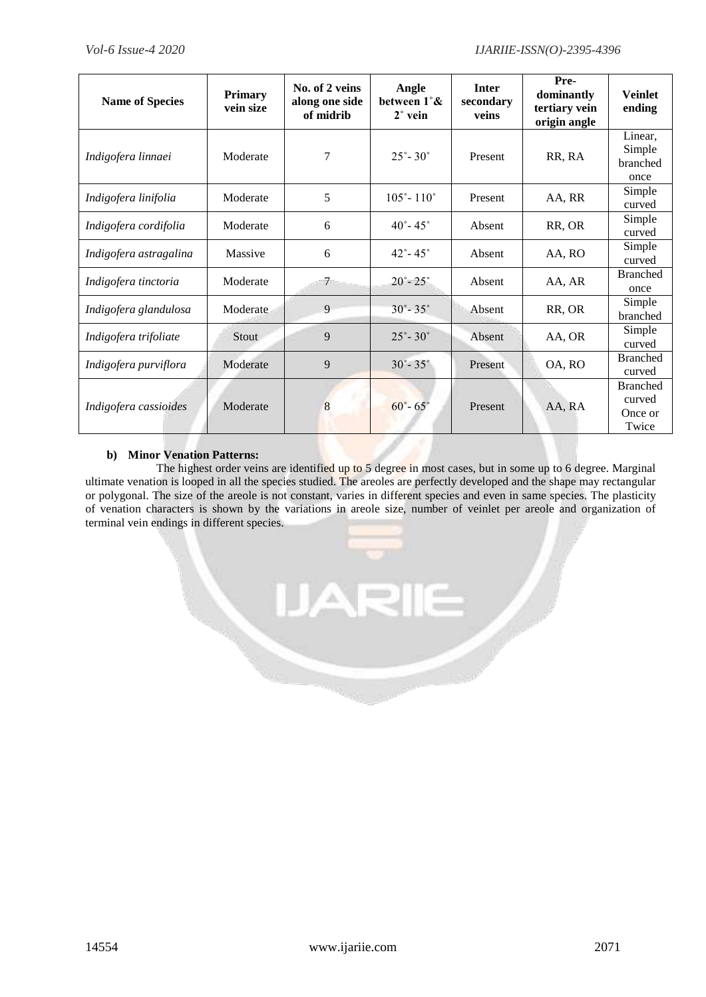| <b>Name of Species</b> | <b>Primary</b><br>vein size | No. of 2 veins<br>along one side<br>of midrib | Angle<br>between 1°&<br>$2^{\circ}$ vein | <b>Inter</b><br>secondary<br>veins | Pre-<br>dominantly<br>tertiary vein<br>origin angle | <b>Veinlet</b><br>ending                      |
|------------------------|-----------------------------|-----------------------------------------------|------------------------------------------|------------------------------------|-----------------------------------------------------|-----------------------------------------------|
| Indigofera linnaei     | Moderate                    | 7                                             | $25^{\circ} - 30^{\circ}$                | Present                            | RR, RA                                              | Linear,<br>Simple<br>branched<br>once         |
| Indigofera linifolia   | Moderate                    | 5                                             | $105^{\circ} - 110^{\circ}$              | Present                            | AA, RR                                              | Simple<br>curved                              |
| Indigofera cordifolia  | Moderate                    | 6                                             | $40^{\circ} - 45^{\circ}$                | Absent                             | RR, OR                                              | Simple<br>curved                              |
| Indigofera astragalina | Massive                     | 6                                             | $42^{\circ} - 45^{\circ}$                | Absent                             | AA, RO                                              | Simple<br>curved                              |
| Indigofera tinctoria   | Moderate                    | $7\overline{ }$                               | $20^{\circ} - 25^{\circ}$                | Absent                             | AA, AR                                              | <b>Branched</b><br>once                       |
| Indigofera glandulosa  | Moderate                    | 9                                             | $30^{\circ} - 35^{\circ}$                | Absent                             | RR, OR                                              | Simple<br>branched                            |
| Indigofera trifoliate  | <b>Stout</b>                | 9                                             | $25^{\circ} - 30^{\circ}$                | Absent                             | AA, OR                                              | Simple<br>curved                              |
| Indigofera purviflora  | Moderate                    | 9                                             | $30^{\circ} - 35^{\circ}$                | Present                            | OA, RO                                              | <b>Branched</b><br>curved                     |
| Indigofera cassioides  | Moderate                    | 8                                             | $60^{\circ} - 65^{\circ}$                | Present                            | AA, RA                                              | <b>Branched</b><br>curved<br>Once or<br>Twice |

# **b) Minor Venation Patterns:**

The highest order veins are identified up to 5 degree in most cases, but in some up to 6 degree. Marginal ultimate venation is looped in all the species studied. The areoles are perfectly developed and the shape may rectangular or polygonal. The size of the areole is not constant, varies in different species and even in same species. The plasticity of venation characters is shown by the variations in areole size, number of veinlet per areole and organization of terminal vein endings in different species.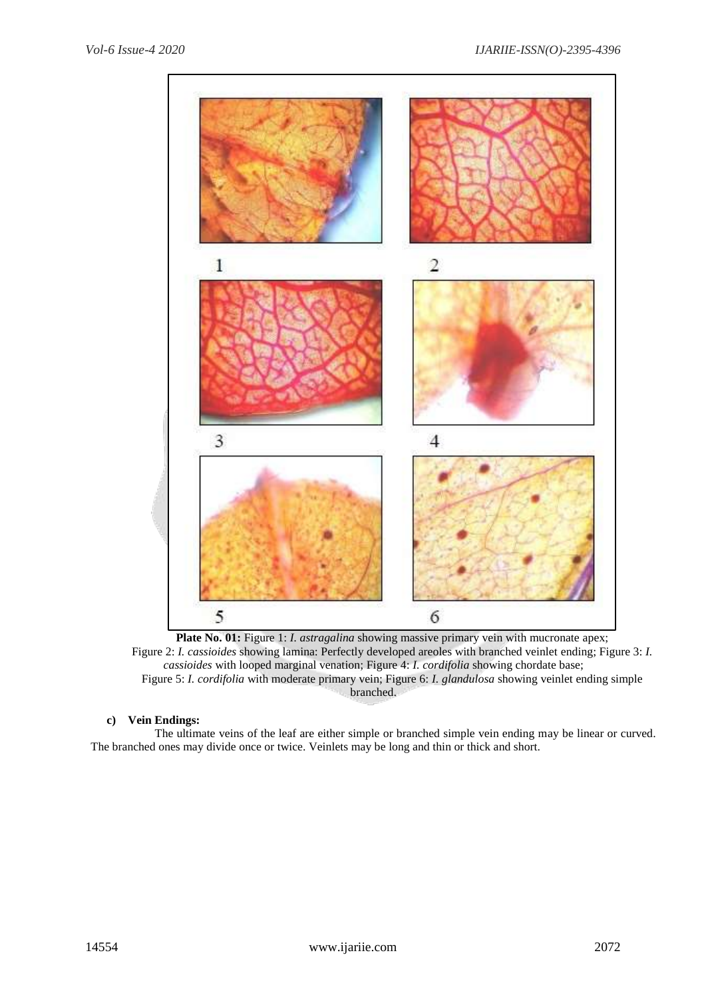

Plate No. 01: Figure 1: *I. astragalina* showing massive primary vein with mucronate apex; Figure 2: *I. cassioides* showing lamina: Perfectly developed areoles with branched veinlet ending; Figure 3: *I. cassioides* with looped marginal venation; Figure 4: *I. cordifolia* showing chordate base; Figure 5: *I. cordifolia* with moderate primary vein; Figure 6: *I. glandulosa* showing veinlet ending simple branched.

# **c) Vein Endings:**

The ultimate veins of the leaf are either simple or branched simple vein ending may be linear or curved. The branched ones may divide once or twice. Veinlets may be long and thin or thick and short.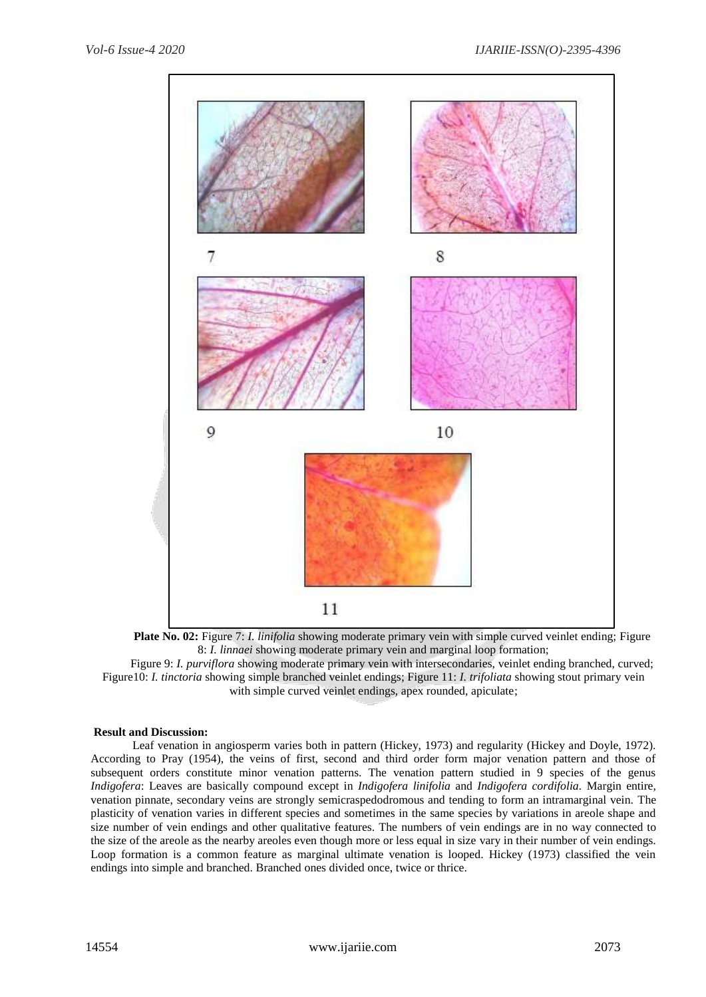

**Plate No. 02:** Figure 7: *I. linifolia* showing moderate primary vein with simple curved veinlet ending; Figure 8: *I. linnaei* showing moderate primary vein and marginal loop formation;

Figure 9: *I. purviflora* showing moderate primary vein with intersecondaries, veinlet ending branched, curved; Figure10: *I. tinctoria* showing simple branched veinlet endings; Figure 11: *I. trifoliata* showing stout primary vein with simple curved veinlet endings, apex rounded, apiculate;

## **Result and Discussion:**

 Leaf venation in angiosperm varies both in pattern (Hickey, 1973) and regularity (Hickey and Doyle, 1972). According to Pray (1954), the veins of first, second and third order form major venation pattern and those of subsequent orders constitute minor venation patterns. The venation pattern studied in 9 species of the genus *Indigofera*: Leaves are basically compound except in *Indigofera linifolia* and *Indigofera cordifolia.* Margin entire, venation pinnate, secondary veins are strongly semicraspedodromous and tending to form an intramarginal vein. The plasticity of venation varies in different species and sometimes in the same species by variations in areole shape and size number of vein endings and other qualitative features. The numbers of vein endings are in no way connected to the size of the areole as the nearby areoles even though more or less equal in size vary in their number of vein endings. Loop formation is a common feature as marginal ultimate venation is looped. Hickey (1973) classified the vein endings into simple and branched. Branched ones divided once, twice or thrice.